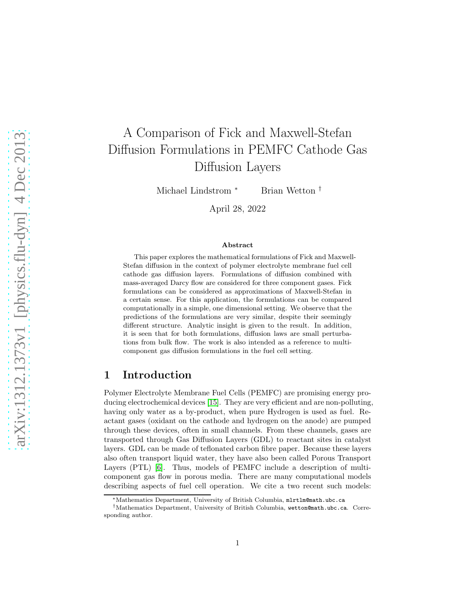# A Comparison of Fick and Maxwell-Stefan Diffusion Formulations in PEMFC Cathode Gas Diffusion Layers

Michael Lindstrom <sup>∗</sup> Brian Wetton <sup>†</sup>

April 28, 2022

#### Abstract

This paper explores the mathematical formulations of Fick and Maxwell-Stefan diffusion in the context of polymer electrolyte membrane fuel cell cathode gas diffusion layers. Formulations of diffusion combined with mass-averaged Darcy flow are considered for three component gases. Fick formulations can be considered as approximations of Maxwell-Stefan in a certain sense. For this application, the formulations can be compared computationally in a simple, one dimensional setting. We observe that the predictions of the formulations are very similar, despite their seemingly different structure. Analytic insight is given to the result. In addition, it is seen that for both formulations, diffusion laws are small perturbations from bulk flow. The work is also intended as a reference to multicomponent gas diffusion formulations in the fuel cell setting.

## 1 Introduction

Polymer Electrolyte Membrane Fuel Cells (PEMFC) are promising energy producing electrochemical devices [\[15\]](#page-11-0). They are very efficient and are non-polluting, having only water as a by-product, when pure Hydrogen is used as fuel. Reactant gases (oxidant on the cathode and hydrogen on the anode) are pumped through these devices, often in small channels. From these channels, gases are transported through Gas Diffusion Layers (GDL) to reactant sites in catalyst layers. GDL can be made of teflonated carbon fibre paper. Because these layers also often transport liquid water, they have also been called Porous Transport Layers (PTL) [\[6\]](#page-10-0). Thus, models of PEMFC include a description of multicomponent gas flow in porous media. There are many computational models describing aspects of fuel cell operation. We cite a two recent such models:

<sup>∗</sup>Mathematics Department, University of British Columbia, mlrtlm@math.ubc.ca

<sup>†</sup>Mathematics Department, University of British Columbia, wetton@math.ubc.ca. Corresponding author.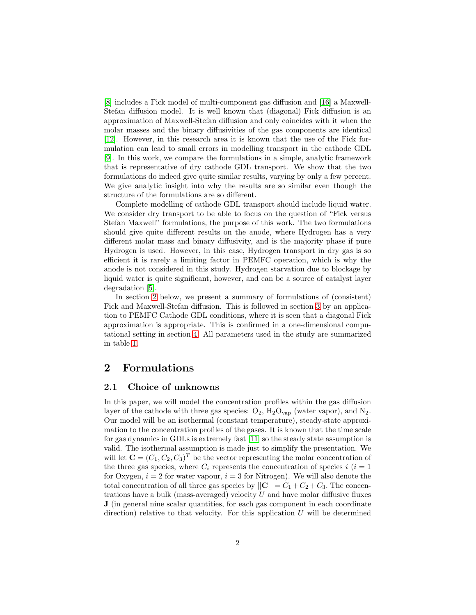[\[8\]](#page-10-1) includes a Fick model of multi-component gas diffusion and [\[16\]](#page-11-1) a Maxwell-Stefan diffusion model. It is well known that (diagonal) Fick diffusion is an approximation of Maxwell-Stefan diffusion and only coincides with it when the molar masses and the binary diffusivities of the gas components are identical [\[12\]](#page-11-2). However, in this research area it is known that the use of the Fick formulation can lead to small errors in modelling transport in the cathode GDL [\[9\]](#page-10-2). In this work, we compare the formulations in a simple, analytic framework that is representative of dry cathode GDL transport. We show that the two formulations do indeed give quite similar results, varying by only a few percent. We give analytic insight into why the results are so similar even though the structure of the formulations are so different.

Complete modelling of cathode GDL transport should include liquid water. We consider dry transport to be able to focus on the question of "Fick versus Stefan Maxwell" formulations, the purpose of this work. The two formulations should give quite different results on the anode, where Hydrogen has a very different molar mass and binary diffusivity, and is the majority phase if pure Hydrogen is used. However, in this case, Hydrogen transport in dry gas is so efficient it is rarely a limiting factor in PEMFC operation, which is why the anode is not considered in this study. Hydrogen starvation due to blockage by liquid water is quite significant, however, and can be a source of catalyst layer degradation [\[5\]](#page-10-3).

In section [2](#page-1-0) below, we present a summary of formulations of (consistent) Fick and Maxwell-Stefan diffusion. This is followed in section [3](#page-5-0) by an application to PEMFC Cathode GDL conditions, where it is seen that a diagonal Fick approximation is appropriate. This is confirmed in a one-dimensional computational setting in section [4.](#page-7-0) All parameters used in the study are summarized in table [1.](#page-6-0)

## <span id="page-1-1"></span><span id="page-1-0"></span>2 Formulations

#### 2.1 Choice of unknowns

In this paper, we will model the concentration profiles within the gas diffusion layer of the cathode with three gas species:  $O_2$ ,  $H_2O_{\text{van}}$  (water vapor), and  $N_2$ . Our model will be an isothermal (constant temperature), steady-state approximation to the concentration profiles of the gases. It is known that the time scale for gas dynamics in GDLs is extremely fast [\[11\]](#page-10-4) so the steady state assumption is valid. The isothermal assumption is made just to simplify the presentation. We will let  $\mathbf{C} = (C_1, C_2, C_3)^T$  be the vector representing the molar concentration of the three gas species, where  $C_i$  represents the concentration of species  $i$  ( $i = 1$ ) for Oxygen,  $i = 2$  for water vapour,  $i = 3$  for Nitrogen). We will also denote the total concentration of all three gas species by  $||\mathbf{C}|| = C_1 + C_2 + C_3$ . The concentrations have a bulk (mass-averaged) velocity  $U$  and have molar diffusive fluxes J (in general nine scalar quantities, for each gas component in each coordinate direction) relative to that velocity. For this application  $U$  will be determined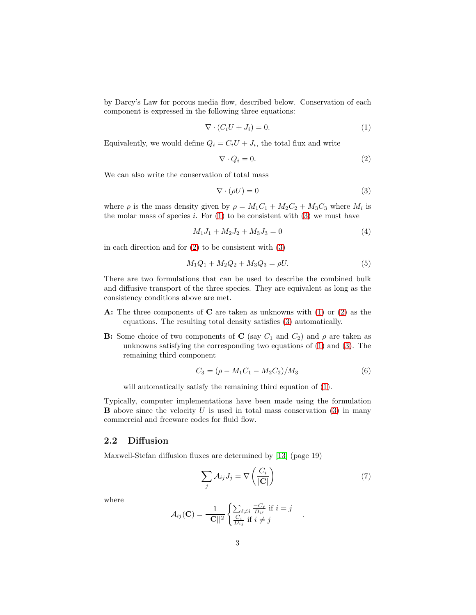by Darcy's Law for porous media flow, described below. Conservation of each component is expressed in the following three equations:

<span id="page-2-0"></span>
$$
\nabla \cdot (C_i U + J_i) = 0. \tag{1}
$$

Equivalently, we would define  $Q_i = C_i U + J_i$ , the total flux and write

<span id="page-2-2"></span>
$$
\nabla \cdot Q_i = 0. \tag{2}
$$

We can also write the conservation of total mass

<span id="page-2-1"></span>
$$
\nabla \cdot (\rho U) = 0 \tag{3}
$$

where  $\rho$  is the mass density given by  $\rho = M_1 C_1 + M_2 C_2 + M_3 C_3$  where  $M_i$  is the molar mass of species  $i$ . For  $(1)$  to be consistent with  $(3)$  we must have

<span id="page-2-4"></span>
$$
M_1 J_1 + M_2 J_2 + M_3 J_3 = 0 \tag{4}
$$

in each direction and for  $(2)$  to be consistent with  $(3)$ 

$$
M_1Q_1 + M_2Q_2 + M_3Q_3 = \rho U. \tag{5}
$$

There are two formulations that can be used to describe the combined bulk and diffusive transport of the three species. They are equivalent as long as the consistency conditions above are met.

- A: The three components of  $C$  are taken as unknowns with [\(1\)](#page-2-0) or [\(2\)](#page-2-2) as the equations. The resulting total density satisfies [\(3\)](#page-2-1) automatically.
- **B:** Some choice of two components of C (say  $C_1$  and  $C_2$ ) and  $\rho$  are taken as unknowns satisfying the corresponding two equations of [\(1\)](#page-2-0) and [\(3\)](#page-2-1). The remaining third component

<span id="page-2-5"></span>
$$
C_3 = (\rho - M_1 C_1 - M_2 C_2) / M_3 \tag{6}
$$

will automatically satisfy the remaining third equation of  $(1)$ .

Typically, computer implementations have been made using the formulation **B** above since the velocity  $U$  is used in total mass conservation [\(3\)](#page-2-1) in many commercial and freeware codes for fluid flow.

#### 2.2 Diffusion

Maxwell-Stefan diffusion fluxes are determined by [\[13\]](#page-11-3) (page 19)

<span id="page-2-3"></span>
$$
\sum_{j} A_{ij} J_j = \nabla \left( \frac{C_i}{|\mathbf{C}|} \right) \tag{7}
$$

.

where

$$
A_{ij}(\mathbf{C}) = \frac{1}{||\mathbf{C}||^2} \begin{cases} \sum_{\ell \neq i} \frac{-C_{\ell}}{D_{i\ell}} \text{ if } i = j\\ \frac{C_i}{D_{ij}} \text{ if } i \neq j \end{cases}
$$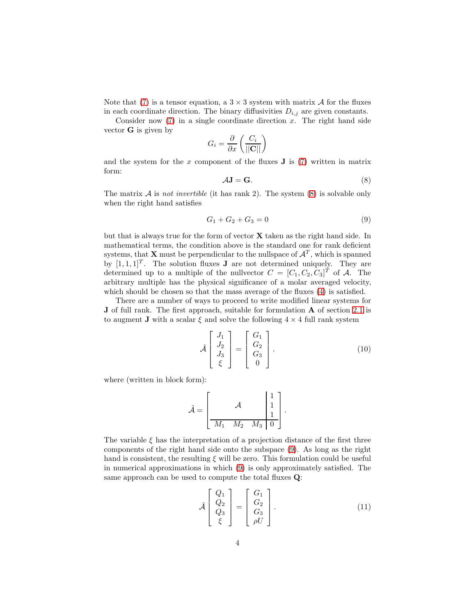Note that [\(7\)](#page-2-3) is a tensor equation, a  $3 \times 3$  system with matrix A for the fluxes in each coordinate direction. The binary diffusivities  $D_{i,j}$  are given constants.

Consider now  $(7)$  in a single coordinate direction x. The right hand side vector  $\bf{G}$  is given by

$$
G_i = \frac{\partial}{\partial x} \left( \frac{C_i}{\|\mathbf{C}\|} \right)
$$

and the system for the  $x$  component of the fluxes  $J$  is [\(7\)](#page-2-3) written in matrix form:

<span id="page-3-0"></span>
$$
AJ = G.
$$
 (8)

The matrix  $A$  is not invertible (it has rank 2). The system  $(8)$  is solvable only when the right hand satisfies

<span id="page-3-1"></span>
$$
G_1 + G_2 + G_3 = 0 \tag{9}
$$

but that is always true for the form of vector  $X$  taken as the right hand side. In mathematical terms, the condition above is the standard one for rank deficient systems, that **X** must be perpendicular to the nullspace of  $\mathcal{A}^T$ , which is spanned by  $[1, 1, 1]^T$ . The solution fluxes **J** are not determined uniquely. They are determined up to a multiple of the nullvector  $C = [C_1, C_2, C_3]^T$  of A. The arbitrary multiple has the physical significance of a molar averaged velocity, which should be chosen so that the mass average of the fluxes  $(4)$  is satisfied.

There are a number of ways to proceed to write modified linear systems for J of full rank. The first approach, suitable for formulation A of section [2.1](#page-1-1) is to augment **J** with a scalar  $\xi$  and solve the following  $4 \times 4$  full rank system

<span id="page-3-2"></span>
$$
\hat{\mathcal{A}}\begin{bmatrix}J_1\\J_2\\J_3\\ \xi\end{bmatrix} = \begin{bmatrix}G_1\\G_2\\G_3\\0\end{bmatrix}.
$$
\n(10)

where (written in block form):

$$
\hat{\mathcal{A}} = \left[\begin{array}{rrr} & A & \begin{bmatrix} 1 \\ 1 \\ 1 \end{bmatrix} \\ \hline M_1 & M_2 & M_3 & 0 \end{array}\right].
$$

The variable  $\xi$  has the interpretation of a projection distance of the first three components of the right hand side onto the subspace [\(9\)](#page-3-1). As long as the right hand is consistent, the resulting  $\xi$  will be zero. This formulation could be useful in numerical approximations in which [\(9\)](#page-3-1) is only approximately satisfied. The same approach can be used to compute the total fluxes Q:

<span id="page-3-3"></span>
$$
\hat{\mathcal{A}}\begin{bmatrix} Q_1 \\ Q_2 \\ Q_3 \\ \xi \end{bmatrix} = \begin{bmatrix} G_1 \\ G_2 \\ G_3 \\ \rho U \end{bmatrix}.
$$
\n(11)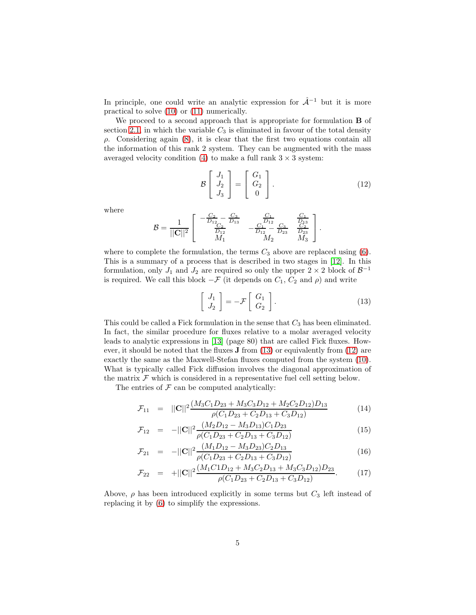In principle, one could write an analytic expression for  $\hat{A}^{-1}$  but it is more practical to solve [\(10\)](#page-3-2) or [\(11\)](#page-3-3) numerically.

We proceed to a second approach that is appropriate for formulation **B** of section [2.1,](#page-1-1) in which the variable  $C_3$  is eliminated in favour of the total density  $\rho$ . Considering again [\(8\)](#page-3-0), it is clear that the first two equations contain all the information of this rank 2 system. They can be augmented with the mass averaged velocity condition [\(4\)](#page-2-4) to make a full rank  $3 \times 3$  system:

<span id="page-4-1"></span>
$$
\mathcal{B}\begin{bmatrix}J_1\\J_2\\J_3\end{bmatrix} = \begin{bmatrix}G_1\\G_2\\0\end{bmatrix}.
$$
 (12)

where

$$
\mathcal{B} = \frac{1}{||\mathbf{C}||^2} \left[ \begin{array}{ccc} -\frac{C_2}{D_{12}} - \frac{C_3}{D_{13}} & \frac{C_1}{D_{12}} & \frac{C_1}{D_{13}} \\ \frac{C_2}{D_{12}} & -\frac{C_1}{D_{12}} - \frac{C_3}{D_{23}} & \frac{C_2}{D_{23}} \\ M_1 & M_2 & M_3 \end{array} \right].
$$

where to complete the formulation, the terms  $C_3$  above are replaced using [\(6\)](#page-2-5). This is a summary of a process that is described in two stages in [\[12\]](#page-11-2). In this formulation, only  $J_1$  and  $J_2$  are required so only the upper  $2 \times 2$  block of  $\mathcal{B}^{-1}$ is required. We call this block  $-\mathcal{F}$  (it depends on  $C_1$ ,  $C_2$  and  $\rho$ ) and write

<span id="page-4-0"></span>
$$
\left[\begin{array}{c} J_1 \\ J_2 \end{array}\right] = -\mathcal{F}\left[\begin{array}{c} G_1 \\ G_2 \end{array}\right].\tag{13}
$$

This could be called a Fick formulation in the sense that  $C_3$  has been eliminated. In fact, the similar procedure for fluxes relative to a molar averaged velocity leads to analytic expressions in [\[13\]](#page-11-3) (page 80) that are called Fick fluxes. However, it should be noted that the fluxes J from [\(13\)](#page-4-0) or equivalently from [\(12\)](#page-4-1) are exactly the same as the Maxwell-Stefan fluxes computed from the system [\(10\)](#page-3-2). What is typically called Fick diffusion involves the diagonal approximation of the matrix  $\mathcal F$  which is considered in a representative fuel cell setting below.

The entries of  $\mathcal F$  can be computed analytically:

<span id="page-4-2"></span>
$$
\mathcal{F}_{11} = ||\mathbf{C}||^2 \frac{(M_3 C_1 D_{23} + M_3 C_3 D_{12} + M_2 C_2 D_{12}) D_{13}}{\rho (C_1 D_{23} + C_2 D_{13} + C_3 D_{12})}
$$
(14)

$$
\mathcal{F}_{12} = -||\mathbf{C}||^2 \frac{(M_2 D_{12} - M_3 D_{13})C_1 D_{23}}{\rho(C_1 D_{23} + C_2 D_{13} + C_3 D_{12})}
$$
(15)

$$
\mathcal{F}_{21} = -||\mathbf{C}||^2 \frac{(M_1 D_{12} - M_3 D_{23})C_2 D_{13}}{\rho(C_1 D_{23} + C_2 D_{13} + C_3 D_{12})}
$$
(16)

$$
\mathcal{F}_{22} = +||\mathbf{C}||^2 \frac{(M_1 C 1 D_{12} + M_3 C_2 D_{13} + M_3 C_3 D_{12}) D_{23}}{\rho (C_1 D_{23} + C_2 D_{13} + C_3 D_{12})}.
$$
(17)

Above,  $\rho$  has been introduced explicitly in some terms but  $C_3$  left instead of replacing it by [\(6\)](#page-2-5) to simplify the expressions.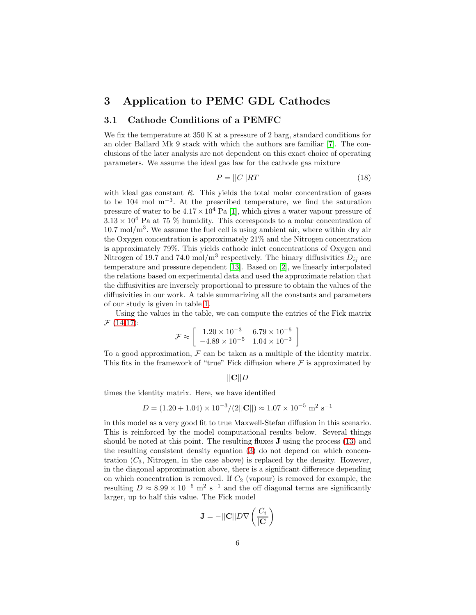## <span id="page-5-0"></span>3 Application to PEMC GDL Cathodes

### <span id="page-5-2"></span>3.1 Cathode Conditions of a PEMFC

We fix the temperature at 350 K at a pressure of 2 barg, standard conditions for an older Ballard Mk 9 stack with which the authors are familiar [\[7\]](#page-10-5). The conclusions of the later analysis are not dependent on this exact choice of operating parameters. We assume the ideal gas law for the cathode gas mixture

<span id="page-5-1"></span>
$$
P = ||C||RT \tag{18}
$$

with ideal gas constant  $R$ . This yields the total molar concentration of gases to be 104 mol m−<sup>3</sup> . At the prescribed temperature, we find the saturation pressure of water to be  $4.17 \times 10^4$  Pa [\[1\]](#page-10-6), which gives a water vapour pressure of  $3.13 \times 10^4$  Pa at 75 % humidity. This corresponds to a molar concentration of  $10.7 \text{ mol/m}^3$ . We assume the fuel cell is using ambient air, where within dry air the Oxygen concentration is approximately 21% and the Nitrogen concentration is approximately 79%. This yields cathode inlet concentrations of Oxygen and Nitrogen of 19.7 and 74.0 mol/m<sup>3</sup> respectively. The binary diffusivities  $D_{ij}$  are temperature and pressure dependent [\[13\]](#page-11-3). Based on [\[2\]](#page-10-7), we linearly interpolated the relations based on experimental data and used the approximate relation that the diffusivities are inversely proportional to pressure to obtain the values of the diffusivities in our work. A table summarizing all the constants and parameters of our study is given in table [1.](#page-6-0)

Using the values in the table, we can compute the entries of the Fick matrix  $F(14-17)$  $F(14-17)$ :

$$
\mathcal{F} \approx \left[ \begin{array}{cc} 1.20 \times 10^{-3} & 6.79 \times 10^{-5} \\ -4.89 \times 10^{-5} & 1.04 \times 10^{-3} \end{array} \right]
$$

To a good approximation,  $\mathcal F$  can be taken as a multiple of the identity matrix. This fits in the framework of "true" Fick diffusion where  $\mathcal F$  is approximated by

#### $||C||D$

times the identity matrix. Here, we have identified

$$
D = (1.20 + 1.04) \times 10^{-3} / (2||\mathbf{C}||) \approx 1.07 \times 10^{-5} \text{ m}^2 \text{ s}^{-1}
$$

in this model as a very good fit to true Maxwell-Stefan diffusion in this scenario. This is reinforced by the model computational results below. Several things should be noted at this point. The resulting fluxes J using the process [\(13\)](#page-4-0) and the resulting consistent density equation [\(3\)](#page-2-1) do not depend on which concentration  $(C_3$ , Nitrogen, in the case above) is replaced by the density. However, in the diagonal approximation above, there is a significant difference depending on which concentration is removed. If  $C_2$  (vapour) is removed for example, the resulting  $D \approx 8.99 \times 10^{-6}$  m<sup>2</sup> s<sup>-1</sup> and the off diagonal terms are significantly larger, up to half this value. The Fick model

$$
\mathbf{J} = -||\mathbf{C}||D\nabla \left(\frac{C_i}{|\mathbf{C}|}\right)
$$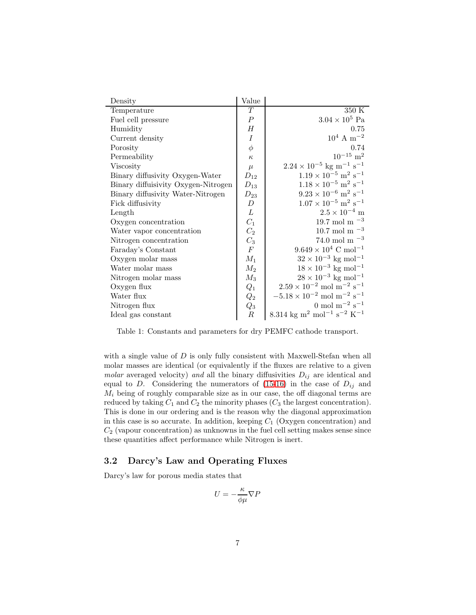| Density                             | Value            |                                                                           |
|-------------------------------------|------------------|---------------------------------------------------------------------------|
| Temperature                         | T                | 350 K                                                                     |
| Fuel cell pressure                  | $\overline{P}$   | $3.04 \times 10^5$ Pa                                                     |
| Humidity                            | $H_{\rm}$        | 0.75                                                                      |
| Current density                     | $\boldsymbol{I}$ | $10^4$ A m <sup>-2</sup>                                                  |
| Porosity                            | $\phi$           | 0.74                                                                      |
| Permeability                        | $\kappa$         | $10^{-15}$ m <sup>2</sup>                                                 |
| Viscosity                           | $\mu$            | $2.24\times10^{-5}$ kg $\mathrm{m^{-1}\;s^{-1}}$                          |
| Binary diffusivity Oxygen-Water     | $D_{12}$         | $1.19\times10^{-5}~\mathrm{m^2~s^{-1}}$                                   |
| Binary diffuisivity Oxygen-Nitrogen | $D_{13}$         | $1.18\times10^{-5}$ $\mathrm{m^2~s^{-1}}$                                 |
| Binary diffusivity Water-Nitrogen   | $D_{23}$         | $9.23\times10^{-6}~\mathrm{m^2~s^{-1}}$                                   |
| Fick diffusivity                    | $\boldsymbol{D}$ | $1.07 \times 10^{-5}$ m <sup>2</sup> s <sup>-1</sup>                      |
| Length                              | L                | $2.5\times10^{-4}$ m                                                      |
| Oxygen concentration                | $C_1$            | 19.7 mol m $^{-3}$                                                        |
| Water vapor concentration           | C <sub>2</sub>   | 10.7 mol m $^{-3}$                                                        |
| Nitrogen concentration              | $\mathcal{C}_3$  | 74.0 mol m $-3$                                                           |
| Faraday's Constant                  | $\boldsymbol{F}$ | $9.649 \times 10^4$ C mol <sup>-1</sup>                                   |
| Oxygen molar mass                   | $M_1$            | $32 \times 10^{-3}$ kg mol <sup>-1</sup>                                  |
| Water molar mass                    | $M_2$            | $18 \times 10^{-3}$ kg mol <sup>-1</sup>                                  |
| Nitrogen molar mass                 | $M_3$            | $28 \times 10^{-3}$ kg mol <sup>-1</sup>                                  |
| Oxygen flux                         | $Q_1$            | $2.59\times10^{-2}$ mol $\mathrm{m}^{-2}$ $\mathrm{s}^{-1}$               |
| Water flux                          | $\,Q_2$          | $-5.18\times10^{-2}$ mol $\mathrm{m}^{-2}$ $\mathrm{s}^{-1}$              |
| Nitrogen flux                       | $Q_3$            | 0 mol m <sup><math>-2</math></sup> s <sup><math>-1</math></sup>           |
| Ideal gas constant                  | $\boldsymbol{R}$ | 8.314 kg m <sup>2</sup> mol <sup>-1</sup> s <sup>-2</sup> K <sup>-1</sup> |

<span id="page-6-0"></span>Table 1: Constants and parameters for dry PEMFC cathode transport.

with a single value of  $D$  is only fully consistent with Maxwell-Stefan when all molar masses are identical (or equivalently if the fluxes are relative to a given *molar* averaged velocity) and all the binary diffusivities  $D_{ij}$  are identical and equal to D. Considering the numerators of  $(15-16)$  in the case of  $D_{ij}$  and  $M_i$  being of roughly comparable size as in our case, the off diagonal terms are reduced by taking  $C_1$  and  $C_2$  the minority phases  $(C_3$  the largest concentration). This is done in our ordering and is the reason why the diagonal approximation in this case is so accurate. In addition, keeping  $C_1$  (Oxygen concentration) and  $C_2$  (vapour concentration) as unknowns in the fuel cell setting makes sense since these quantities affect performance while Nitrogen is inert.

## 3.2 Darcy's Law and Operating Fluxes

Darcy's law for porous media states that

$$
U=-\frac{\kappa}{\phi\mu}\nabla P
$$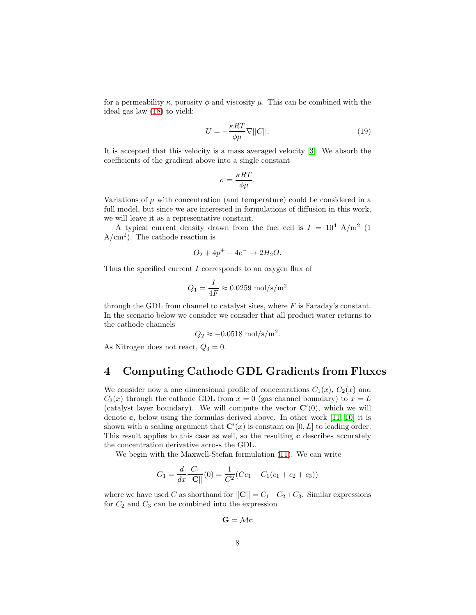for a permeability  $\kappa$ , porosity  $\phi$  and viscosity  $\mu$ . This can be combined with the ideal gas law [\(18\)](#page-5-1) to yield:

<span id="page-7-1"></span>
$$
U = -\frac{\kappa RT}{\phi \mu} \nabla ||C||. \tag{19}
$$

It is accepted that this velocity is a mass averaged velocity [\[3\]](#page-10-8). We absorb the coefficients of the gradient above into a single constant

$$
\sigma = \frac{\kappa RT}{\phi \mu}.
$$

Variations of  $\mu$  with concentration (and temperature) could be considered in a full model, but since we are interested in formulations of diffusion in this work, we will leave it as a representative constant.

A typical current density drawn from the fuel cell is  $I = 10^4$  A/m<sup>2</sup> (1)  $A/cm<sup>2</sup>$ ). The cathode reaction is

$$
O_2 + 4p^+ + 4e^- \rightarrow 2H_2O.
$$

Thus the specified current  $I$  corresponds to an oxygen flux of

$$
Q_1 = \frac{I}{4F} \approx 0.0259 \text{ mol/s/m}^2
$$

through the GDL from channel to catalyst sites, where  $F$  is Faraday's constant. In the scenario below we consider we consider that all product water returns to the cathode channels

$$
Q_2 \approx -0.0518 \text{ mol/s/m}^2.
$$

As Nitrogen does not react,  $Q_3 = 0$ .

# <span id="page-7-0"></span>4 Computing Cathode GDL Gradients from Fluxes

We consider now a one dimensional profile of concentrations  $C_1(x)$ ,  $C_2(x)$  and  $C_3(x)$  through the cathode GDL from  $x = 0$  (gas channel boundary) to  $x = L$ (catalyst layer boundary). We will compute the vector  $\mathbf{C}'(0)$ , which we will denote c, below using the formulas derived above. In other work [\[11,](#page-10-4) [10\]](#page-10-9) it is shown with a scaling argument that  $\mathbf{C}'(x)$  is constant on  $[0, L]$  to leading order. This result applies to this case as well, so the resulting c describes accurately the concentration derivative across the GDL.

We begin with the Maxwell-Stefan formulation [\(11\)](#page-3-3). We can write

$$
G_1 = \frac{d}{dx} \frac{C_1}{||\mathbf{C}||} (0) = \frac{1}{C^2} (Cc_1 - C_1(c_1 + c_2 + c_3))
$$

where we have used C as shorthand for  $||\mathbf{C}|| = C_1 + C_2 + C_3$ . Similar expressions for  $C_2$  and  $C_3$  can be combined into the expression

 $G = \mathcal{M}c$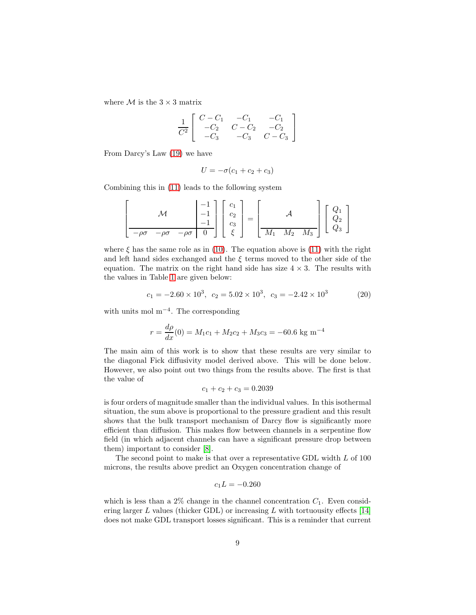where  $\mathcal M$  is the  $3 \times 3$  matrix

$$
\frac{1}{C^2} \left[ \begin{array}{rrr} C - C_1 & -C_1 & -C_1 \\ -C_2 & C - C_2 & -C_2 \\ -C_3 & -C_3 & C - C_3 \end{array} \right]
$$

From Darcy's Law [\(19\)](#page-7-1) we have

$$
U = -\sigma(c_1 + c_2 + c_3)
$$

Combining this in [\(11\)](#page-3-3) leads to the following system

$$
\left[\begin{array}{c}\n\mathcal{M} & \begin{bmatrix} -1 \\ -1 \\ -1 \end{bmatrix} & \begin{bmatrix} c_1 \\ c_2 \\ c_3 \end{bmatrix} \\ \hline\n-\rho\sigma & -\rho\sigma & -\rho\sigma & 0\n\end{array}\right]\n\left[\begin{array}{c}\n c_1 \\ c_2 \\ c_3 \end{array}\right] = \left[\begin{array}{c}\n\mathcal{A} & \mathcal{A} \\ \hline\nM_1 & M_2 & M_3\n\end{array}\right]\n\left[\begin{array}{c}\nQ_1 \\ Q_2 \\ Q_3 \end{array}\right]
$$

where  $\xi$  has the same role as in [\(10\)](#page-3-2). The equation above is [\(11\)](#page-3-3) with the right and left hand sides exchanged and the  $\xi$  terms moved to the other side of the equation. The matrix on the right hand side has size  $4 \times 3$ . The results with the values in Table [1](#page-6-0) are given below:

<span id="page-8-0"></span>
$$
c_1 = -2.60 \times 10^3, \ c_2 = 5.02 \times 10^3, \ c_3 = -2.42 \times 10^3 \tag{20}
$$

with units mol m<sup>−</sup><sup>4</sup> . The corresponding

$$
r = \frac{d\rho}{dx}(0) = M_1c_1 + M_2c_2 + M_3c_3 = -60.6 \text{ kg m}^{-4}
$$

The main aim of this work is to show that these results are very similar to the diagonal Fick diffusivity model derived above. This will be done below. However, we also point out two things from the results above. The first is that the value of

$$
c_1 + c_2 + c_3 = 0.2039
$$

is four orders of magnitude smaller than the individual values. In this isothermal situation, the sum above is proportional to the pressure gradient and this result shows that the bulk transport mechanism of Darcy flow is significantly more efficient than diffusion. This makes flow between channels in a serpentine flow field (in which adjacent channels can have a significant pressure drop between them) important to consider [\[8\]](#page-10-1).

The second point to make is that over a representative GDL width L of 100 microns, the results above predict an Oxygen concentration change of

$$
c_1L = -0.260
$$

which is less than a  $2\%$  change in the channel concentration  $C_1$ . Even considering larger  $L$  values (thicker GDL) or increasing  $L$  with tortuousity effects [\[14\]](#page-11-4) does not make GDL transport losses significant. This is a reminder that current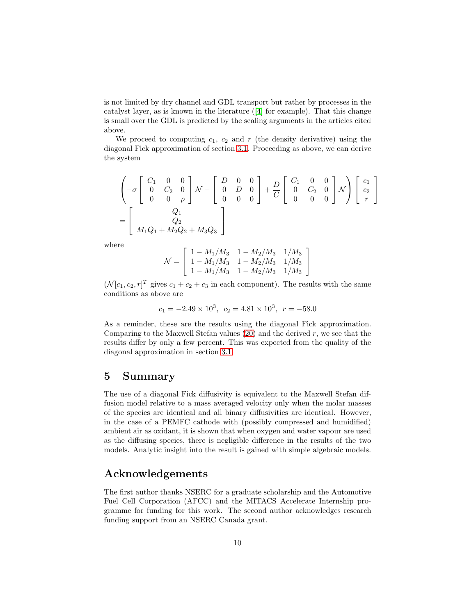is not limited by dry channel and GDL transport but rather by processes in the catalyst layer, as is known in the literature ([\[4\]](#page-10-10) for example). That this change is small over the GDL is predicted by the scaling arguments in the articles cited above.

We proceed to computing  $c_1$ ,  $c_2$  and r (the density derivative) using the diagonal Fick approximation of section [3.1.](#page-5-2) Proceeding as above, we can derive the system

$$
\begin{pmatrix}\nC_1 & 0 & 0 \\
0 & C_2 & 0 \\
0 & 0 & \rho\n\end{pmatrix}\n\mathcal{N} -\n\begin{bmatrix}\nD & 0 & 0 \\
0 & D & 0 \\
0 & 0 & 0\n\end{bmatrix} +\n\frac{D}{C}\n\begin{bmatrix}\nC_1 & 0 & 0 \\
0 & C_2 & 0 \\
0 & 0 & 0\n\end{bmatrix}\n\mathcal{N}\n\begin{bmatrix}\nc_1 \\
c_2 \\
r\n\end{bmatrix}
$$
\n
$$
=\n\begin{bmatrix}\nQ_1 \\
Q_2 \\
M_1Q_1 + M_2Q_2 + M_3Q_3\n\end{bmatrix}
$$

where

$$
\mathcal{N} = \left[ \begin{array}{ccc} 1 - M_1/M_3 & 1 - M_2/M_3 & 1/M_3 \\ 1 - M_1/M_3 & 1 - M_2/M_3 & 1/M_3 \\ 1 - M_1/M_3 & 1 - M_2/M_3 & 1/M_3 \end{array} \right]
$$

 $(\mathcal{N}[c_1, c_2, r]^T$  gives  $c_1 + c_2 + c_3$  in each component). The results with the same conditions as above are

$$
c_1 = -2.49 \times 10^3
$$
,  $c_2 = 4.81 \times 10^3$ ,  $r = -58.0$ 

As a reminder, these are the results using the diagonal Fick approximation. Comparing to the Maxwell Stefan values  $(20)$  and the derived r, we see that the results differ by only a few percent. This was expected from the quality of the diagonal approximation in section [3.1.](#page-5-2)

## 5 Summary

The use of a diagonal Fick diffusivity is equivalent to the Maxwell Stefan diffusion model relative to a mass averaged velocity only when the molar masses of the species are identical and all binary diffusivities are identical. However, in the case of a PEMFC cathode with (possibly compressed and humidified) ambient air as oxidant, it is shown that when oxygen and water vapour are used as the diffusing species, there is negligible difference in the results of the two models. Analytic insight into the result is gained with simple algebraic models.

## Acknowledgements

The first author thanks NSERC for a graduate scholarship and the Automotive Fuel Cell Corporation (AFCC) and the MITACS Accelerate Internship programme for funding for this work. The second author acknowledges research funding support from an NSERC Canada grant.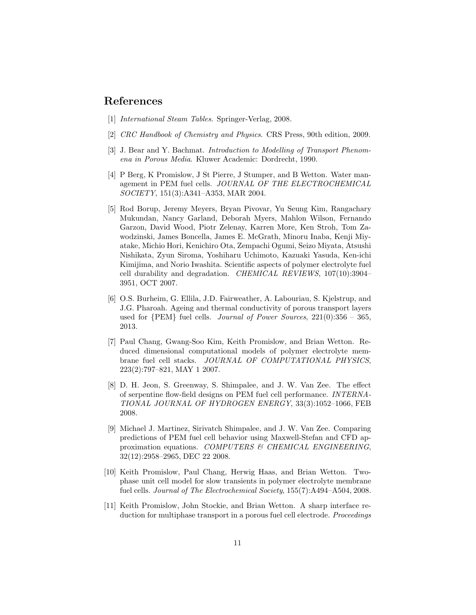## <span id="page-10-6"></span>References

- <span id="page-10-7"></span>[1] International Steam Tables. Springer-Verlag, 2008.
- <span id="page-10-8"></span>[2] CRC Handbook of Chemistry and Physics. CRS Press, 90th edition, 2009.
- <span id="page-10-10"></span>[3] J. Bear and Y. Bachmat. Introduction to Modelling of Transport Phenomena in Porous Media. Kluwer Academic: Dordrecht, 1990.
- [4] P Berg, K Promislow, J St Pierre, J Stumper, and B Wetton. Water management in PEM fuel cells. JOURNAL OF THE ELECTROCHEMICAL SOCIETY, 151(3):A341–A353, MAR 2004.
- <span id="page-10-3"></span>[5] Rod Borup, Jeremy Meyers, Bryan Pivovar, Yu Seung Kim, Rangachary Mukundan, Nancy Garland, Deborah Myers, Mahlon Wilson, Fernando Garzon, David Wood, Piotr Zelenay, Karren More, Ken Stroh, Tom Zawodzinski, James Boncella, James E. McGrath, Minoru Inaba, Kenji Miyatake, Michio Hori, Kenichiro Ota, Zempachi Ogumi, Seizo Miyata, Atsushi Nishikata, Zyun Siroma, Yoshiharu Uchimoto, Kazuaki Yasuda, Ken-ichi Kimijima, and Norio Iwashita. Scientific aspects of polymer electrolyte fuel cell durability and degradation. CHEMICAL REVIEWS, 107(10):3904– 3951, OCT 2007.
- <span id="page-10-0"></span>[6] O.S. Burheim, G. Ellila, J.D. Fairweather, A. Labouriau, S. Kjelstrup, and J.G. Pharoah. Ageing and thermal conductivity of porous transport layers used for  ${PEM}$  fuel cells. *Journal of Power Sources*,  $221(0):356 - 365$ , 2013.
- <span id="page-10-5"></span>[7] Paul Chang, Gwang-Soo Kim, Keith Promislow, and Brian Wetton. Reduced dimensional computational models of polymer electrolyte membrane fuel cell stacks. JOURNAL OF COMPUTATIONAL PHYSICS, 223(2):797–821, MAY 1 2007.
- <span id="page-10-1"></span>[8] D. H. Jeon, S. Greenway, S. Shimpalee, and J. W. Van Zee. The effect of serpentine flow-field designs on PEM fuel cell performance. INTERNA-TIONAL JOURNAL OF HYDROGEN ENERGY, 33(3):1052–1066, FEB 2008.
- <span id="page-10-2"></span>[9] Michael J. Martinez, Sirivatch Shimpalee, and J. W. Van Zee. Comparing predictions of PEM fuel cell behavior using Maxwell-Stefan and CFD approximation equations. COMPUTERS & CHEMICAL ENGINEERING, 32(12):2958–2965, DEC 22 2008.
- <span id="page-10-9"></span>[10] Keith Promislow, Paul Chang, Herwig Haas, and Brian Wetton. Twophase unit cell model for slow transients in polymer electrolyte membrane fuel cells. Journal of The Electrochemical Society, 155(7):A494–A504, 2008.
- <span id="page-10-4"></span>[11] Keith Promislow, John Stockie, and Brian Wetton. A sharp interface reduction for multiphase transport in a porous fuel cell electrode. *Proceedings*